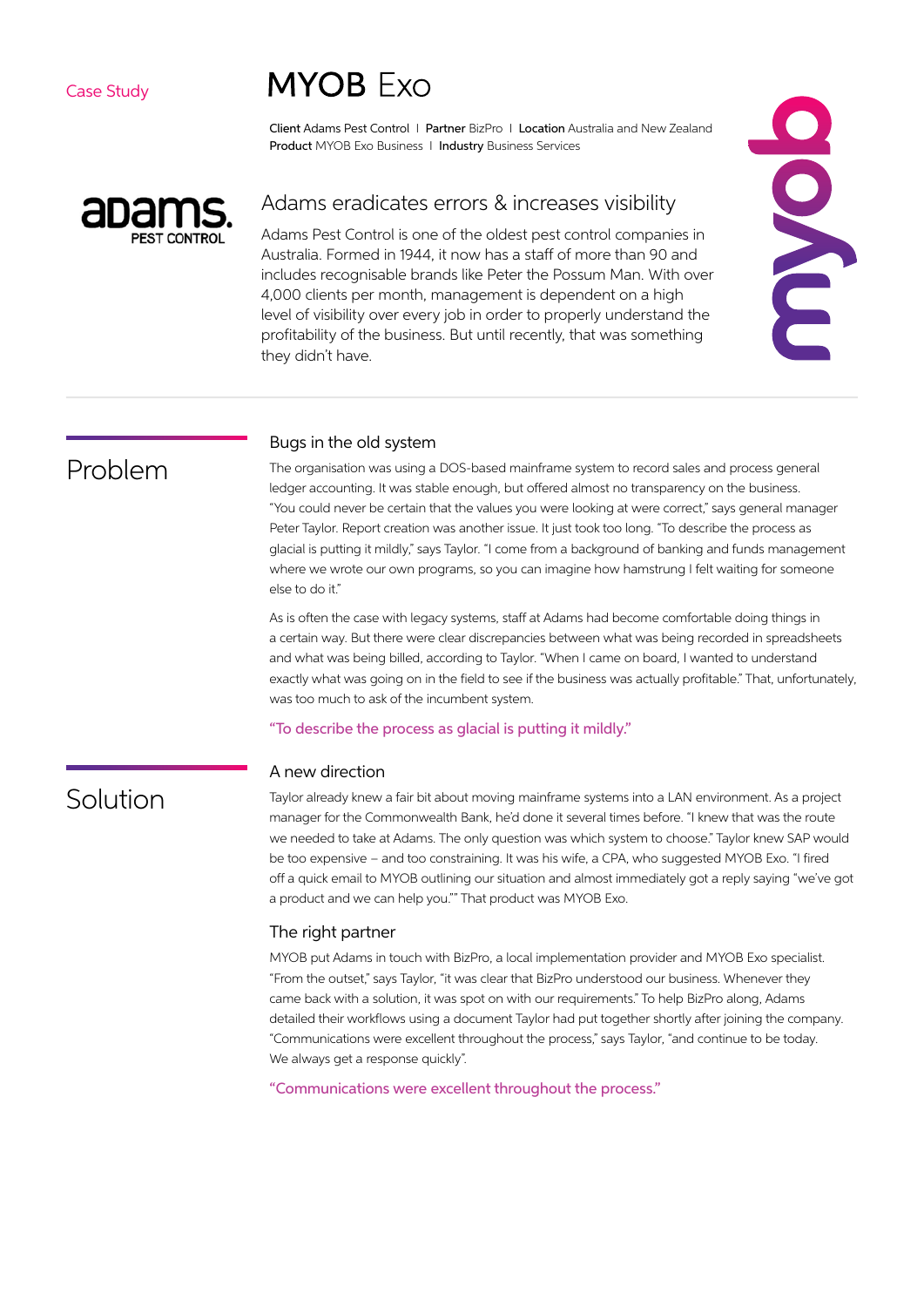#### Case Study

# **MYOR Exo**

Client Adams Pest Control I Partner BizPro I Location Australia and New Zealand Product MYOB Exo Business I Industry Business Services



### Adams eradicates errors & increases visibility

Adams Pest Control is one of the oldest pest control companies in Australia. Formed in 1944, it now has a staff of more than 90 and includes recognisable brands like Peter the Possum Man. With over 4,000 clients per month, management is dependent on a high level of visibility over every job in order to properly understand the profitability of the business. But until recently, that was something they didn't have.



## Problem

#### Bugs in the old system

The organisation was using a DOS-based mainframe system to record sales and process general ledger accounting. It was stable enough, but offered almost no transparency on the business. "You could never be certain that the values you were looking at were correct," says general manager Peter Taylor. Report creation was another issue. It just took too long. "To describe the process as glacial is putting it mildly," says Taylor. "I come from a background of banking and funds management where we wrote our own programs, so you can imagine how hamstrung I felt waiting for someone else to do it."

As is often the case with legacy systems, staff at Adams had become comfortable doing things in a certain way. But there were clear discrepancies between what was being recorded in spreadsheets and what was being billed, according to Taylor. "When I came on board, I wanted to understand exactly what was going on in the field to see if the business was actually profitable." That, unfortunately, was too much to ask of the incumbent system.

#### "To describe the process as glacial is putting it mildly."

#### A new direction

### Solution

Taylor already knew a fair bit about moving mainframe systems into a LAN environment. As a project manager for the Commonwealth Bank, he'd done it several times before. "I knew that was the route we needed to take at Adams. The only question was which system to choose." Taylor knew SAP would be too expensive – and too constraining. It was his wife, a CPA, who suggested MYOB Exo. "I fired off a quick email to MYOB outlining our situation and almost immediately got a reply saying "we've got a product and we can help you."" That product was MYOB Exo.

#### The right partner

MYOB put Adams in touch with BizPro, a local implementation provider and MYOB Exo specialist. "From the outset," says Taylor, "it was clear that BizPro understood our business. Whenever they came back with a solution, it was spot on with our requirements." To help BizPro along, Adams detailed their workflows using a document Taylor had put together shortly after joining the company. "Communications were excellent throughout the process," says Taylor, "and continue to be today. We always get a response quickly".

"Communications were excellent throughout the process."